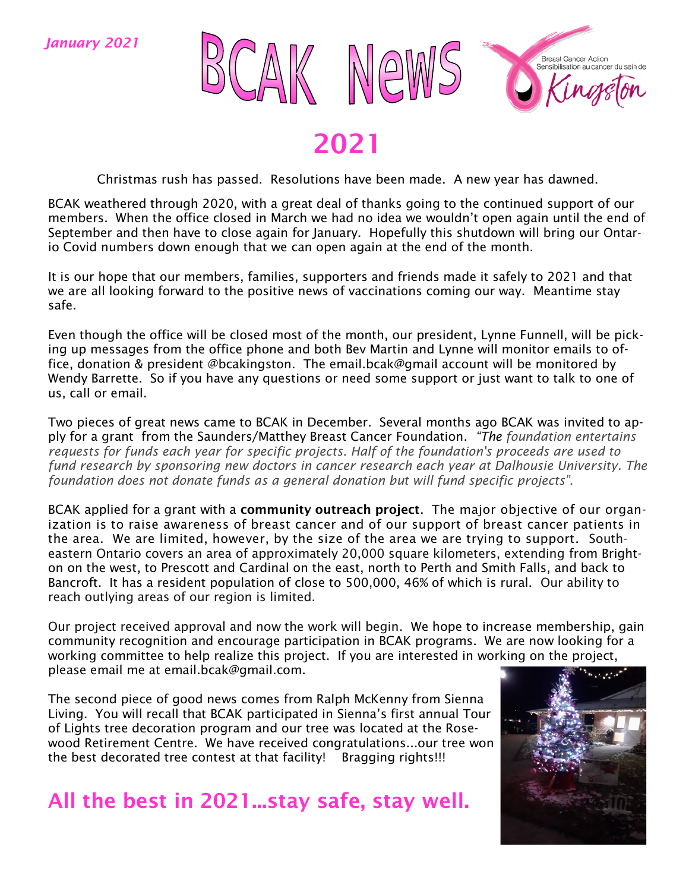

2021

Christmas rush has passed. Resolutions have been made. A new year has dawned.

BCAK weathered through 2020, with a great deal of thanks going to the continued support of our members. When the office closed in March we had no idea we wouldn't open again until the end of September and then have to close again for January. Hopefully this shutdown will bring our Ontario Covid numbers down enough that we can open again at the end of the month.

It is our hope that our members, families, supporters and friends made it safely to 2021 and that we are all looking forward to the positive news of vaccinations coming our way. Meantime stay safe.

Even though the office will be closed most of the month, our president, Lynne Funnell, will be picking up messages from the office phone and both Bev Martin and Lynne will monitor emails to office, donation & president @bcakingston. The email.bcak@gmail account will be monitored by Wendy Barrette. So if you have any questions or need some support or just want to talk to one of us, call or email.

Two pieces of great news came to BCAK in December. Several months ago BCAK was invited to apply for a grant from the Saunders/Matthey Breast Cancer Foundation. *"The foundation entertains requests for funds each year for specific projects. Half of the foundation's proceeds are used to fund research by sponsoring new doctors in cancer research each year at Dalhousie University. The foundation does not donate funds as a general donation but will fund specific projects".*

BCAK applied for a grant with a community outreach project. The major objective of our organization is to raise awareness of breast cancer and of our support of breast cancer patients in the area. We are limited, however, by the size of the area we are trying to support. Southeastern Ontario covers an area of approximately 20,000 square kilometers, extending from Brighton on the west, to Prescott and Cardinal on the east, north to Perth and Smith Falls, and back to Bancroft. It has a resident population of close to 500,000, 46% of which is rural. Our ability to reach outlying areas of our region is limited.

Our project received approval and now the work will begin. We hope to increase membership, gain community recognition and encourage participation in BCAK programs. We are now looking for a working committee to help realize this project. If you are interested in working on the project, please email me at email.bcak@gmail.com.

The second piece of good news comes from Ralph McKenny from Sienna Living. You will recall that BCAK participated in Sienna's first annual Tour of Lights tree decoration program and our tree was located at the Rosewood Retirement Centre. We have received congratulations...our tree won the best decorated tree contest at that facility! Bragging rights!!!

All the best in 2021...stay safe, stay well.

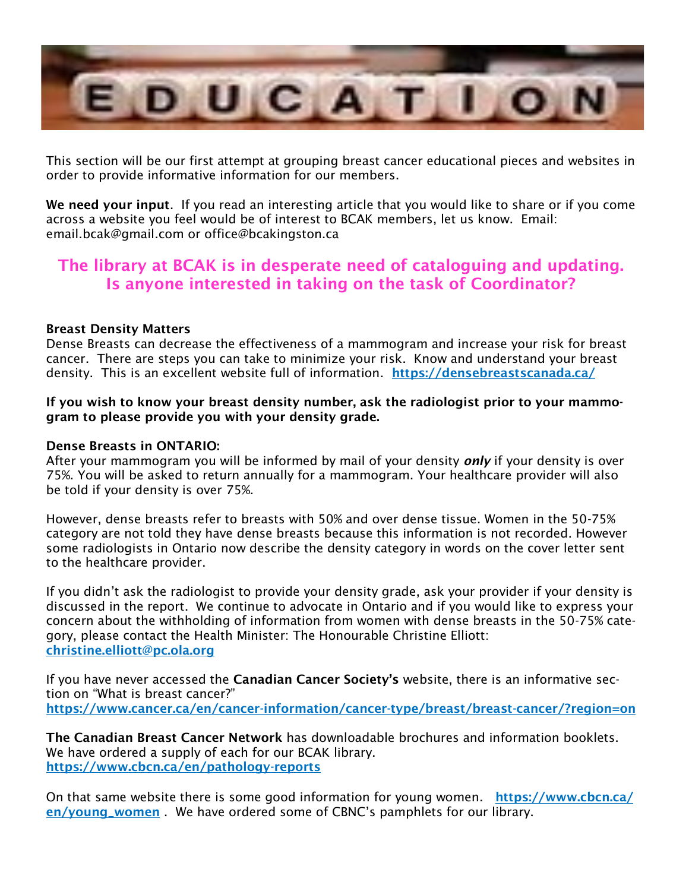

This section will be our first attempt at grouping breast cancer educational pieces and websites in order to provide informative information for our members.

We need your input. If you read an interesting article that you would like to share or if you come across a website you feel would be of interest to BCAK members, let us know. Email: email.bcak@gmail.com or office@bcakingston.ca

#### The library at BCAK is in desperate need of cataloguing and updating. Is anyone interested in taking on the task of Coordinator?

#### Breast Density Matters

Dense Breasts can decrease the effectiveness of a mammogram and increase your risk for breast cancer. There are steps you can take to minimize your risk. Know and understand your breast density. This is an excellent website full of information. <https://densebreastscanada.ca/>

#### If you wish to know your breast density number, ask the radiologist prior to your mammogram to please provide you with your density grade.

#### Dense Breasts in ONTARIO:

After your mammogram you will be informed by mail of your density *only* if your density is over 75%. You will be asked to return annually for a mammogram. Your healthcare provider will also be told if your density is over 75%.

However, dense breasts refer to breasts with 50% and over dense tissue. Women in the 50-75% category are not told they have dense breasts because this information is not recorded. However some radiologists in Ontario now describe the density category in words on the cover letter sent to the healthcare provider.

If you didn't ask the radiologist to provide your density grade, ask your provider if your density is discussed in the report. We continue to advocate in Ontario and if you would like to express your concern about the withholding of information from women with dense breasts in the 50-75% category, please contact the Health Minister: The Honourable Christine Elliott: [christine.elliott@pc.ola.org](mailto:Christine.elliott@pc.ola.org)

If you have never accessed the Canadian Cancer Society's website, there is an informative section on "What is breast cancer?" <https://www.cancer.ca/en/cancer-information/cancer-type/breast/breast-cancer/?region=on>

The Canadian Breast Cancer Network has downloadable brochures and information booklets. We have ordered a supply of each for our BCAK library. <https://www.cbcn.ca/en/pathology-reports>

On that same website there is some good information for young women. [https://www.cbcn.ca/](https://www.cbcn.ca/en/young_women) [en/young\\_women](https://www.cbcn.ca/en/young_women) . We have ordered some of CBNC's pamphlets for our library.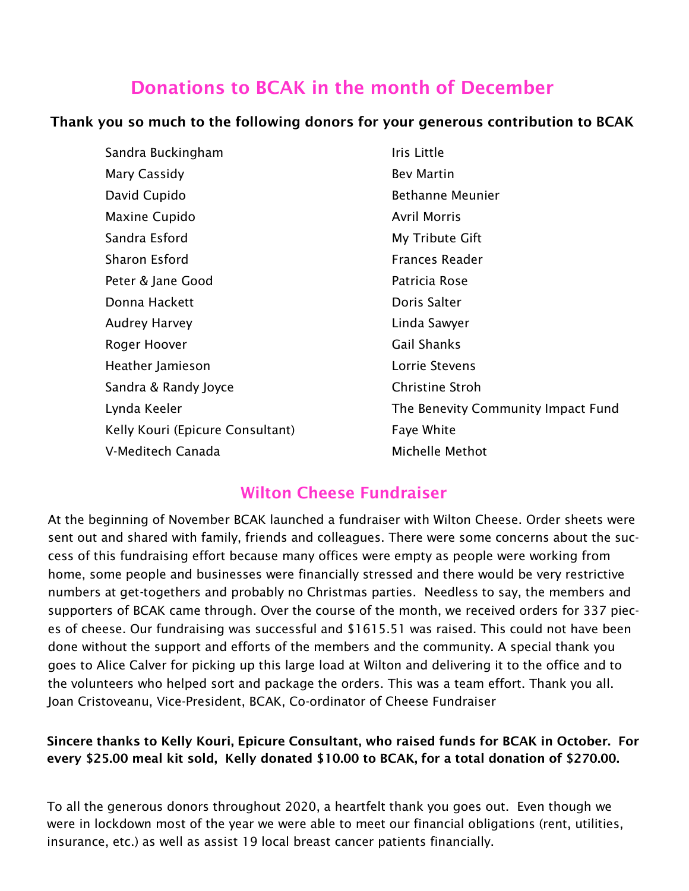#### Donations to BCAK in the month of December

#### Thank you so much to the following donors for your generous contribution to BCAK

| Sandra Buckingham                | Iris Little                        |
|----------------------------------|------------------------------------|
| Mary Cassidy                     | <b>Bev Martin</b>                  |
| David Cupido                     | <b>Bethanne Meunier</b>            |
| Maxine Cupido                    | <b>Avril Morris</b>                |
| Sandra Esford                    | My Tribute Gift                    |
| Sharon Esford                    | <b>Frances Reader</b>              |
| Peter & Jane Good                | Patricia Rose                      |
| Donna Hackett                    | Doris Salter                       |
| <b>Audrey Harvey</b>             | Linda Sawyer                       |
| Roger Hoover                     | <b>Gail Shanks</b>                 |
| Heather Jamieson                 | Lorrie Stevens                     |
| Sandra & Randy Joyce             | <b>Christine Stroh</b>             |
| Lynda Keeler                     | The Benevity Community Impact Fund |
| Kelly Kouri (Epicure Consultant) | Faye White                         |
| V-Meditech Canada                | Michelle Methot                    |

#### Wilton Cheese Fundraiser

At the beginning of November BCAK launched a fundraiser with Wilton Cheese. Order sheets were sent out and shared with family, friends and colleagues. There were some concerns about the success of this fundraising effort because many offices were empty as people were working from home, some people and businesses were financially stressed and there would be very restrictive numbers at get-togethers and probably no Christmas parties. Needless to say, the members and supporters of BCAK came through. Over the course of the month, we received orders for 337 pieces of cheese. Our fundraising was successful and \$1615.51 was raised. This could not have been done without the support and efforts of the members and the community. A special thank you goes to Alice Calver for picking up this large load at Wilton and delivering it to the office and to the volunteers who helped sort and package the orders. This was a team effort. Thank you all. Joan Cristoveanu, Vice-President, BCAK, Co-ordinator of Cheese Fundraiser

#### Sincere thanks to Kelly Kouri, Epicure Consultant, who raised funds for BCAK in October. For every \$25.00 meal kit sold, Kelly donated \$10.00 to BCAK, for a total donation of \$270.00.

To all the generous donors throughout 2020, a heartfelt thank you goes out. Even though we were in lockdown most of the year we were able to meet our financial obligations (rent, utilities, insurance, etc.) as well as assist 19 local breast cancer patients financially.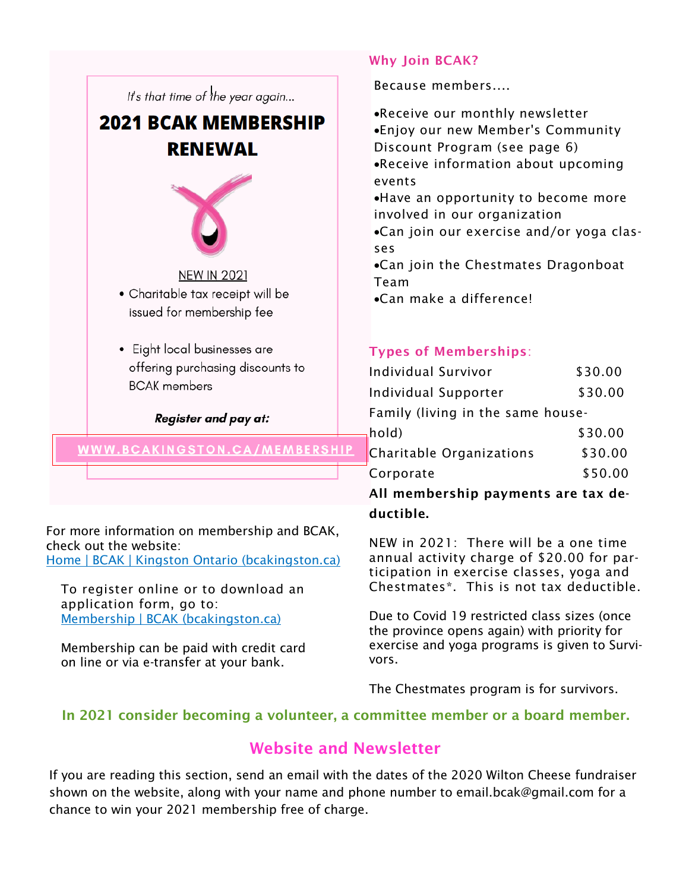

For more information on membership and BCAK, check out the website: [Home | BCAK | Kingston Ontario \(bcakingston.ca\)](https://www.bcakingston.ca/)

To register online or to download an application form, go to: [Membership | BCAK \(bcakingston.ca\)](https://www.bcakingston.ca/membership)

Membership can be paid with credit card on line or via e-transfer at your bank.

#### Why Join BCAK?

Because members....

•Receive our monthly newsletter •Enjoy our new Member's Community Discount Program (see page 6) •Receive information about upcoming events

•Have an opportunity to become more involved in our organization

•Can join our exercise and/or yoga classes

•Can join the Chestmates Dragonboat Team

•Can make a difference!

#### Types of Memberships:

| Individual Survivor                 | \$30.00 |  |
|-------------------------------------|---------|--|
| Individual Supporter                | \$30.00 |  |
| Family (living in the same house-   |         |  |
| hold)                               | \$30.00 |  |
| Charitable Organizations            | \$30.00 |  |
| Corporate                           | \$50.00 |  |
| All mambarchin naymants are tay do. |         |  |

All membership payments are tax deductible.

NEW in 2021: There will be a one time annual activity charge of \$20.00 for participation in exercise classes, yoga and Chestmates\*. This is not tax deductible.

Due to Covid 19 restricted class sizes (once the province opens again) with priority for exercise and yoga programs is given to Survivors.

The Chestmates program is for survivors.

#### In 2021 consider becoming a volunteer, a committee member or a board member.

#### Website and Newsletter

If you are reading this section, send an email with the dates of the 2020 Wilton Cheese fundraiser shown on the website, along with your name and phone number to email.bcak@gmail.com for a chance to win your 2021 membership free of charge.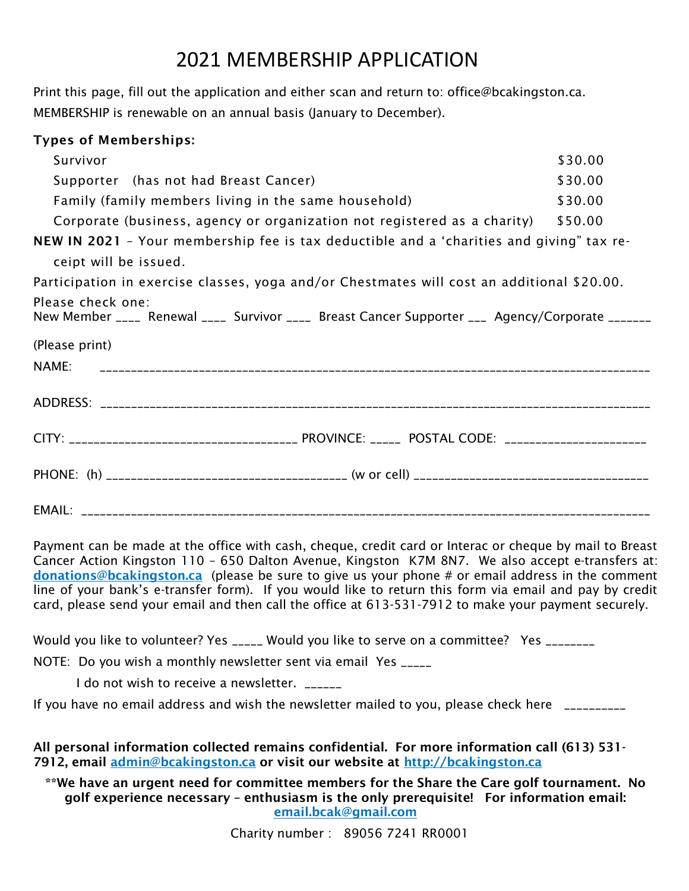### 2021 MEMBERSHIP APPLICATION

Print this page, fill out the application and either scan and return to: office@bcakingston.ca. MEMBERSHIP is renewable on an annual basis (January to December).

| <b>Types of Memberships:</b>                                                                                         |         |  |
|----------------------------------------------------------------------------------------------------------------------|---------|--|
| Survivor                                                                                                             | \$30.00 |  |
| Supporter (has not had Breast Cancer)                                                                                | \$30.00 |  |
| Family (family members living in the same household)                                                                 | \$30.00 |  |
| Corporate (business, agency or organization not registered as a charity)                                             | \$50.00 |  |
| NEW IN 2021 - Your membership fee is tax deductible and a 'charities and giving" tax re-                             |         |  |
| ceipt will be issued.                                                                                                |         |  |
| Participation in exercise classes, yoga and/or Chestmates will cost an additional \$20.00.                           |         |  |
| Please check one:<br>New Member ____ Renewal ____ Survivor ____ Breast Cancer Supporter ___ Agency/Corporate _______ |         |  |
| (Please print)                                                                                                       |         |  |
| NAME:                                                                                                                |         |  |
|                                                                                                                      |         |  |
|                                                                                                                      |         |  |
|                                                                                                                      |         |  |
|                                                                                                                      |         |  |

Payment can be made at the office with cash, cheque, credit card or Interac or cheque by mail to Breast Cancer Action Kingston 110 – 650 Dalton Avenue, Kingston K7M 8N7. We also accept e-transfers at: [donations@bcakingston.ca](mailto:donations@bcakingston.ca) (please be sure to give us your phone # or email address in the comment line of your bank's e-transfer form). If you would like to return this form via email and pay by credit card, please send your email and then call the office at 613-531-7912 to make your payment securely.

Would you like to volunteer? Yes \_\_\_\_\_ Would you like to serve on a committee? Yes \_\_\_\_\_\_\_

NOTE: Do you wish a monthly newsletter sent via email Yes \_\_\_\_\_

I do not wish to receive a newsletter. \_\_\_\_\_\_

If you have no email address and wish the newsletter mailed to you, please check here  $\Box$ 

All personal information collected remains confidential. For more information call (613) 531- 7912, email [admin@bcakingston.ca](mailto:admin@bcakingston.ca) or visit our website at<http://bcakingston.ca>

\*\*We have an urgent need for committee members for the Share the Care golf tournament. No golf experience necessary – enthusiasm is the only prerequisite! For information email: [email.bcak@gmail.com](mailto:email.bcak@gmail.com) 

Charity number : 89056 7241 RR0001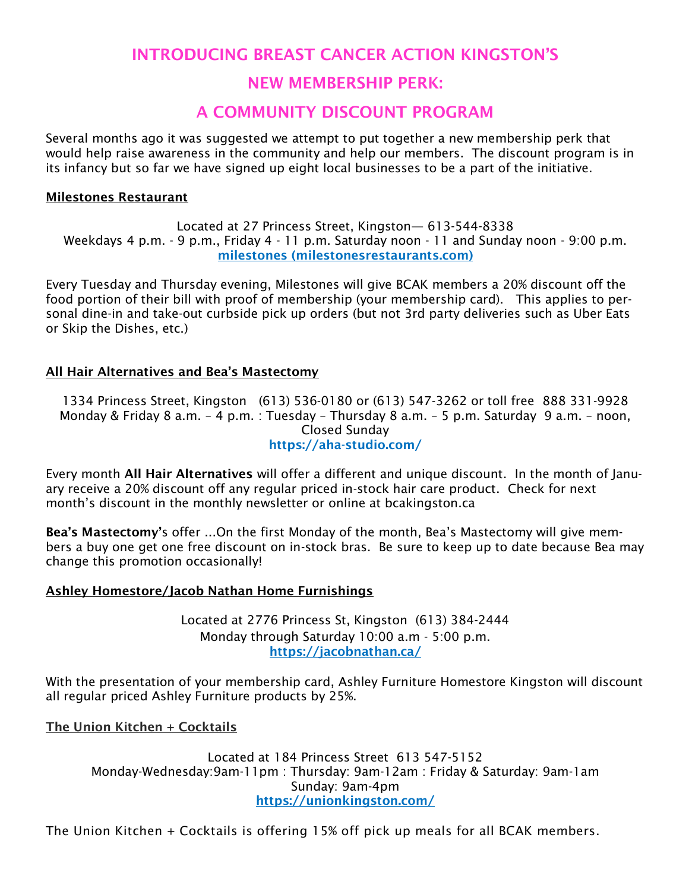#### INTRODUCING BREAST CANCER ACTION KINGSTON'S

#### NEW MEMBERSHIP PERK:

#### A COMMUNITY DISCOUNT PROGRAM

Several months ago it was suggested we attempt to put together a new membership perk that would help raise awareness in the community and help our members. The discount program is in its infancy but so far we have signed up eight local businesses to be a part of the initiative.

#### Milestones Restaurant

Located at 27 Princess Street, Kingston— 613-544-8338 Weekdays 4 p.m. - 9 p.m., Friday 4 - 11 p.m. Saturday noon - 11 and Sunday noon - 9:00 p.m. [milestones \(milestonesrestaurants.com\)](https://www.milestonesrestaurants.com/)

Every Tuesday and Thursday evening, Milestones will give BCAK members a 20% discount off the food portion of their bill with proof of membership (your membership card). This applies to personal dine-in and take-out curbside pick up orders (but not 3rd party deliveries such as Uber Eats or Skip the Dishes, etc.)

#### All Hair Alternatives and Bea's Mastectomy

1334 Princess Street, Kingston (613) 536-0180 or (613) 547-3262 or toll free 888 331-9928 Monday & Friday 8 a.m. – 4 p.m. : Tuesday – Thursday 8 a.m. – 5 p.m. Saturday 9 a.m. – noon, Closed Sunday https://aha-studio.com/

Every month All Hair Alternatives will offer a different and unique discount. In the month of January receive a 20% discount off any regular priced in-stock hair care product. Check for next month's discount in the monthly newsletter or online at bcakingston.ca

Bea's Mastectomy's offer ...On the first Monday of the month, Bea's Mastectomy will give members a buy one get one free discount on in-stock bras. Be sure to keep up to date because Bea may change this promotion occasionally!

#### Ashley Homestore/Jacob Nathan Home Furnishings

Located at 2776 Princess St, Kingston (613) 384-2444 Monday through Saturday 10:00 a.m - 5:00 p.m. <https://jacobnathan.ca/>

With the presentation of your membership card, Ashley Furniture Homestore Kingston will discount all regular priced Ashley Furniture products by 25%.

The Union Kitchen + Cocktails

Located at 184 Princess Street 613 547-5152 Monday-Wednesday:9am-11pm : Thursday: 9am-12am : Friday & Saturday: 9am-1am Sunday: 9am-4pm <https://unionkingston.com/>

The Union Kitchen + Cocktails is offering 15% off pick up meals for all BCAK members.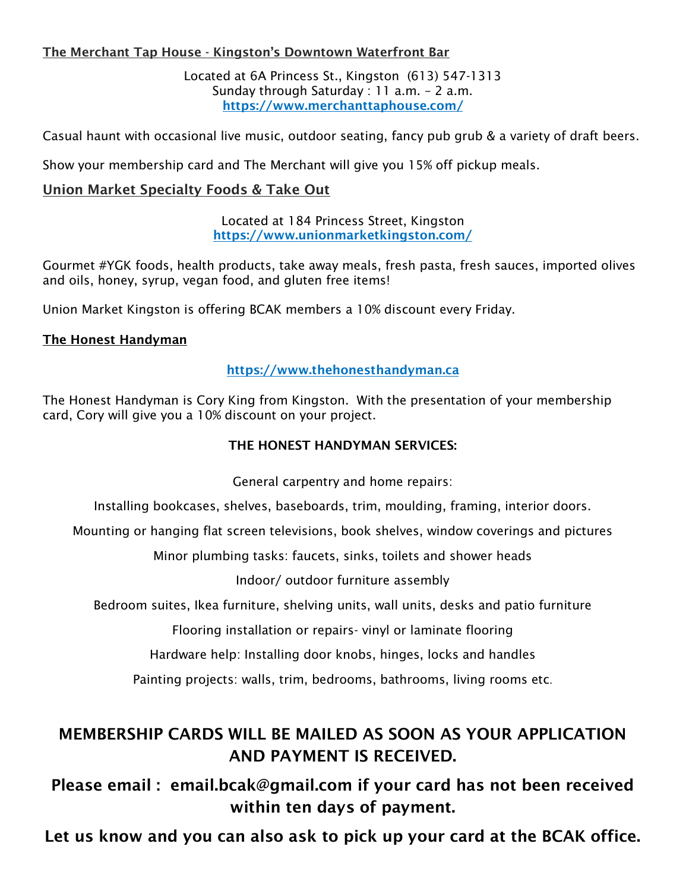#### The Merchant Tap House - Kingston's Downtown Waterfront Bar

Located at 6A Princess St., Kingston (613) 547-1313 Sunday through Saturday : 11 a.m. – 2 a.m. <https://www.merchanttaphouse.com/>

Casual haunt with occasional live music, outdoor seating, fancy pub grub & a variety of draft beers.

Show your membership card and The Merchant will give you 15% off pickup meals.

#### Union Market Specialty Foods & Take Out

#### Located at 184 Princess Street, Kingston <https://www.unionmarketkingston.com/>

Gourmet #YGK foods, health products, take away meals, fresh pasta, fresh sauces, imported olives and oils, honey, syrup, vegan food, and gluten free items!

Union Market Kingston is offering BCAK members a 10% discount every Friday.

#### The Honest Handyman

#### [https://www.thehonesthandyman.ca](https://www.thehonesthandyman.ca/)

The Honest Handyman is Cory King from Kingston. With the presentation of your membership card, Cory will give you a 10% discount on your project.

#### THE HONEST HANDYMAN SERVICES:

General carpentry and home repairs:

Installing bookcases, shelves, baseboards, trim, moulding, framing, interior doors.

Mounting or hanging flat screen televisions, book shelves, window coverings and pictures

Minor plumbing tasks: faucets, sinks, toilets and shower heads

Indoor/ outdoor furniture assembly

Bedroom suites, Ikea furniture, shelving units, wall units, desks and patio furniture

Flooring installation or repairs- vinyl or laminate flooring

Hardware help: Installing door knobs, hinges, locks and handles

Painting projects: walls, trim, bedrooms, bathrooms, living rooms etc.

#### MEMBERSHIP CARDS WILL BE MAILED AS SOON AS YOUR APPLICATION AND PAYMENT IS RECEIVED.

Please email : email.bcak@gmail.com if your card has not been received within ten days of payment.

Let us know and you can also ask to pick up your card at the BCAK office.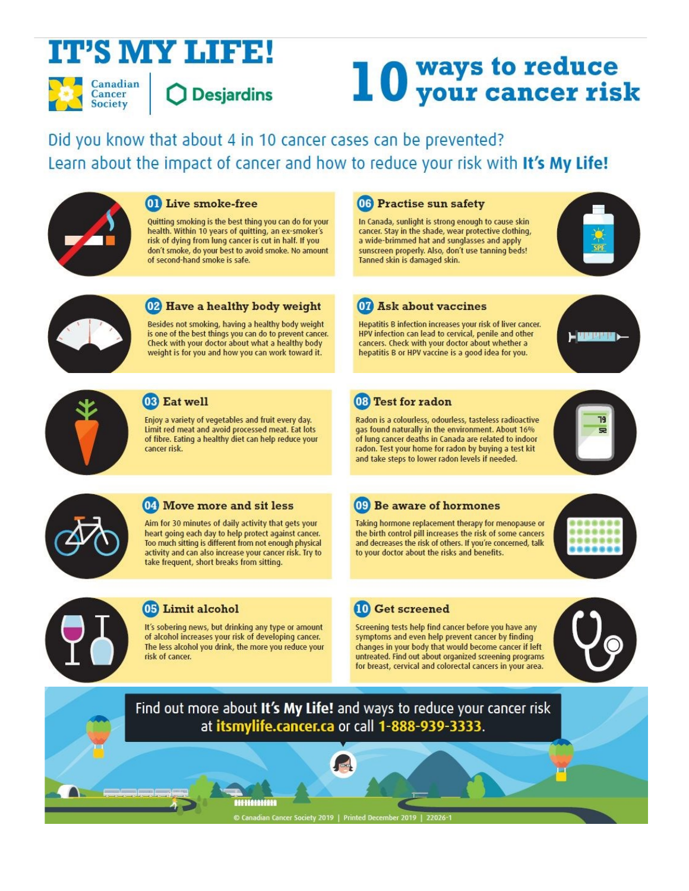## **IT'S MY LIFE!**

Canadian Cancer **Society** 

**Desjardins** 

# 10 ways to reduce<br>10 your cancer risk

Did you know that about 4 in 10 cancer cases can be prevented? Learn about the impact of cancer and how to reduce your risk with It's My Life!



#### **01** Live smoke-free

Quitting smoking is the best thing you can do for your health. Within 10 years of quitting, an ex-smoker's risk of dying from lung cancer is cut in half. If you don't smoke, do your best to avoid smoke. No amount of second-hand smoke is safe.



#### 02 Have a healthy body weight

Besides not smoking, having a healthy body weight is one of the best things you can do to prevent cancer. Check with your doctor about what a healthy body weight is for you and how you can work toward it.



#### 03 Eat well

Enjoy a variety of vegetables and fruit every day. Limit red meat and avoid processed meat. Eat lots of fibre. Eating a healthy diet can help reduce your cancer risk.

04 Move more and sit less

take frequent, short breaks from sitting.

Aim for 30 minutes of daily activity that gets your heart going each day to help protect against cancer.

Too much sitting is different from not enough physical

activity and can also increase your cancer risk. Try to

06 Practise sun safety

In Canada, sunlight is strong enough to cause skin cancer. Stay in the shade, wear protective clothing, a wide-brimmed hat and sunglasses and apply sunscreen properly. Also, don't use tanning beds! Tanned skin is damaged skin.



#### 07 Ask about vaccines

Hepatitis B infection increases your risk of liver cancer. HPV infection can lead to cervical, penile and other cancers. Check with your doctor about whether a hepatitis B or HPV vaccine is a good idea for you.



#### 08 Test for radon

Radon is a colourless, odourless, tasteless radioactive gas found naturally in the environment. About 16% of lung cancer deaths in Canada are related to indoor radon. Test your home for radon by buying a test kit and take steps to lower radon levels if needed.



Taking hormone replacement therapy for menopause or the birth control pill increases the risk of some cancers and decreases the risk of others. If you're concerned, talk to your doctor about the risks and benefits.





#### 05 Limit alcohol

It's sobering news, but drinking any type or amount of alcohol increases your risk of developing cancer. The less alcohol you drink, the more you reduce your risk of cancer.

<u> 222 222 222 223 224 225 226 227 228 22</u>

#### **10** Get screened

Screening tests help find cancer before you have any symptoms and even help prevent cancer by finding changes in your body that would become cancer if left untreated. Find out about organized screening programs for breast, cervical and colorectal cancers in your area.



Find out more about It's My Life! and ways to reduce your cancer risk at itsmylife.cancer.ca or call 1-888-939-3333.